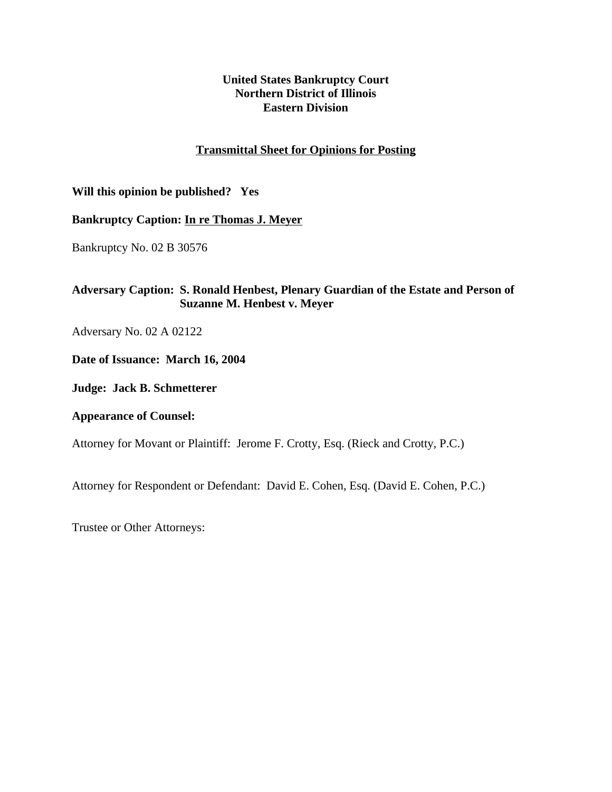# **United States Bankruptcy Court Northern District of Illinois Eastern Division**

# **Transmittal Sheet for Opinions for Posting**

# **Will this opinion be published? Yes**

## **Bankruptcy Caption: In re Thomas J. Meyer**

Bankruptcy No. 02 B 30576

# **Adversary Caption: S. Ronald Henbest, Plenary Guardian of the Estate and Person of Suzanne M. Henbest v. Meyer**

Adversary No. 02 A 02122

**Date of Issuance: March 16, 2004**

**Judge: Jack B. Schmetterer**

**Appearance of Counsel:**

Attorney for Movant or Plaintiff: Jerome F. Crotty, Esq. (Rieck and Crotty, P.C.)

Attorney for Respondent or Defendant: David E. Cohen, Esq. (David E. Cohen, P.C.)

Trustee or Other Attorneys: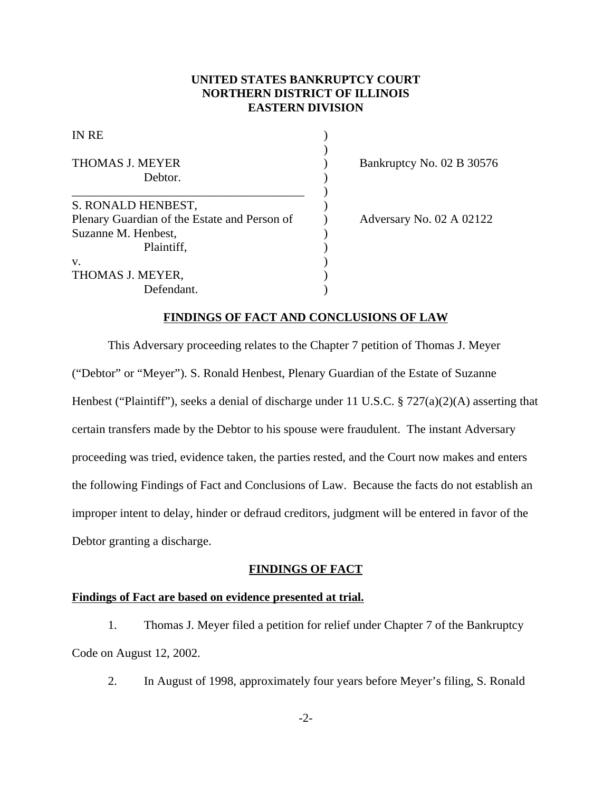# **UNITED STATES BANKRUPTCY COURT NORTHERN DISTRICT OF ILLINOIS EASTERN DIVISION**

| <b>IN RE</b><br><b>THOMAS J. MEYER</b><br>Debtor. |  |
|---------------------------------------------------|--|
|                                                   |  |
| Plenary Guardian of the Estate and Person of      |  |
| Suzanne M. Henbest,                               |  |
| Plaintiff,                                        |  |
| V.                                                |  |
| THOMAS J. MEYER,                                  |  |
| Defendant.                                        |  |

Bankruptcy No. 02 B 30576

Adversary No. 02 A 02122

## **FINDINGS OF FACT AND CONCLUSIONS OF LAW**

This Adversary proceeding relates to the Chapter 7 petition of Thomas J. Meyer ("Debtor" or "Meyer"). S. Ronald Henbest, Plenary Guardian of the Estate of Suzanne Henbest ("Plaintiff"), seeks a denial of discharge under 11 U.S.C. § 727(a)(2)(A) asserting that certain transfers made by the Debtor to his spouse were fraudulent. The instant Adversary proceeding was tried, evidence taken, the parties rested, and the Court now makes and enters the following Findings of Fact and Conclusions of Law. Because the facts do not establish an improper intent to delay, hinder or defraud creditors, judgment will be entered in favor of the Debtor granting a discharge.

## **FINDINGS OF FACT**

### **Findings of Fact are based on evidence presented at trial.**

1. Thomas J. Meyer filed a petition for relief under Chapter 7 of the Bankruptcy Code on August 12, 2002.

2. In August of 1998, approximately four years before Meyer's filing, S. Ronald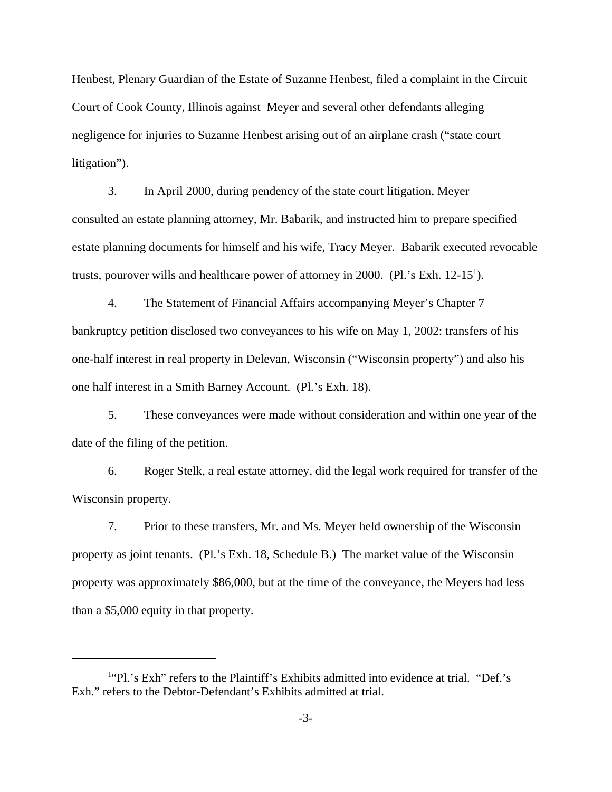Henbest, Plenary Guardian of the Estate of Suzanne Henbest, filed a complaint in the Circuit Court of Cook County, Illinois against Meyer and several other defendants alleging negligence for injuries to Suzanne Henbest arising out of an airplane crash ("state court litigation").

3. In April 2000, during pendency of the state court litigation, Meyer consulted an estate planning attorney, Mr. Babarik, and instructed him to prepare specified estate planning documents for himself and his wife, Tracy Meyer. Babarik executed revocable trusts, pourover wills and healthcare power of attorney in 2000. (Pl.'s Exh.  $12-15^1$ ).

4. The Statement of Financial Affairs accompanying Meyer's Chapter 7 bankruptcy petition disclosed two conveyances to his wife on May 1, 2002: transfers of his one-half interest in real property in Delevan, Wisconsin ("Wisconsin property") and also his one half interest in a Smith Barney Account. (Pl.'s Exh. 18).

5. These conveyances were made without consideration and within one year of the date of the filing of the petition.

6. Roger Stelk, a real estate attorney, did the legal work required for transfer of the Wisconsin property.

7. Prior to these transfers, Mr. and Ms. Meyer held ownership of the Wisconsin property as joint tenants. (Pl.'s Exh. 18, Schedule B.) The market value of the Wisconsin property was approximately \$86,000, but at the time of the conveyance, the Meyers had less than a \$5,000 equity in that property.

<sup>&</sup>lt;sup>1</sup>"Pl.'s Exh" refers to the Plaintiff's Exhibits admitted into evidence at trial. "Def.'s Exh." refers to the Debtor-Defendant's Exhibits admitted at trial.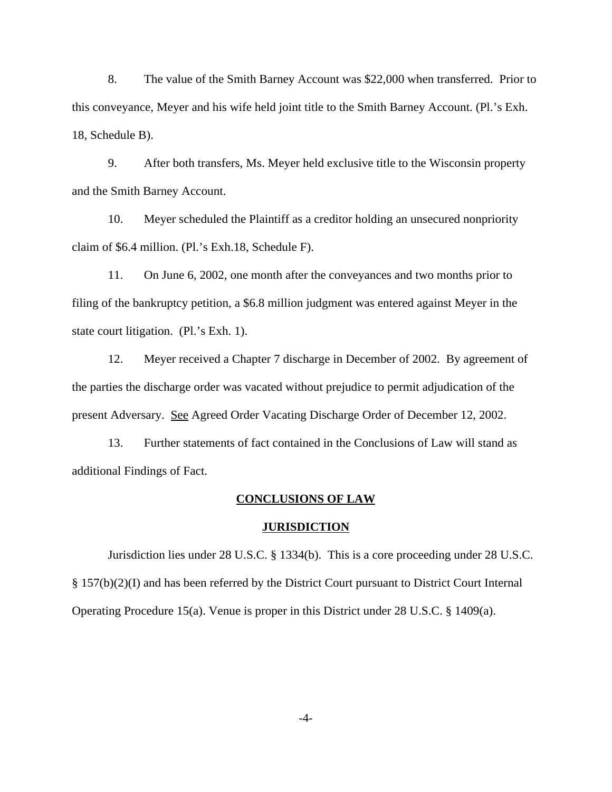8. The value of the Smith Barney Account was \$22,000 when transferred. Prior to this conveyance, Meyer and his wife held joint title to the Smith Barney Account. (Pl.'s Exh. 18, Schedule B).

9. After both transfers, Ms. Meyer held exclusive title to the Wisconsin property and the Smith Barney Account.

10. Meyer scheduled the Plaintiff as a creditor holding an unsecured nonpriority claim of \$6.4 million. (Pl.'s Exh.18, Schedule F).

11. On June 6, 2002, one month after the conveyances and two months prior to filing of the bankruptcy petition, a \$6.8 million judgment was entered against Meyer in the state court litigation. (Pl.'s Exh. 1).

12. Meyer received a Chapter 7 discharge in December of 2002. By agreement of the parties the discharge order was vacated without prejudice to permit adjudication of the present Adversary. See Agreed Order Vacating Discharge Order of December 12, 2002.

13. Further statements of fact contained in the Conclusions of Law will stand as additional Findings of Fact.

#### **CONCLUSIONS OF LAW**

### **JURISDICTION**

Jurisdiction lies under 28 U.S.C. § 1334(b). This is a core proceeding under 28 U.S.C. § 157(b)(2)(I) and has been referred by the District Court pursuant to District Court Internal Operating Procedure 15(a). Venue is proper in this District under 28 U.S.C. § 1409(a).

-4-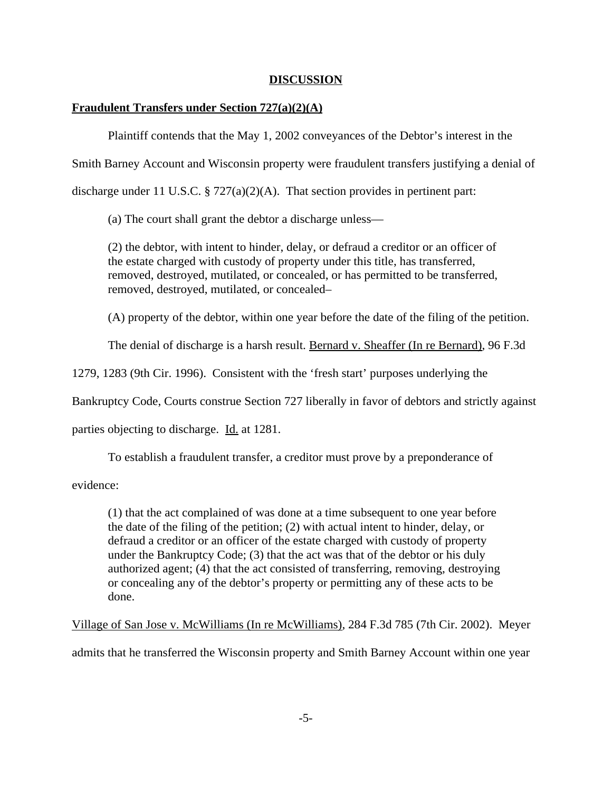## **DISCUSSION**

## **Fraudulent Transfers under Section 727(a)(2)(A)**

Plaintiff contends that the May 1, 2002 conveyances of the Debtor's interest in the

Smith Barney Account and Wisconsin property were fraudulent transfers justifying a denial of

discharge under 11 U.S.C. § 727(a)(2)(A). That section provides in pertinent part:

(a) The court shall grant the debtor a discharge unless—

(2) the debtor, with intent to hinder, delay, or defraud a creditor or an officer of the estate charged with custody of property under this title, has transferred, removed, destroyed, mutilated, or concealed, or has permitted to be transferred, removed, destroyed, mutilated, or concealed–

(A) property of the debtor, within one year before the date of the filing of the petition.

The denial of discharge is a harsh result. Bernard v. Sheaffer (In re Bernard), 96 F.3d

1279, 1283 (9th Cir. 1996). Consistent with the 'fresh start' purposes underlying the

Bankruptcy Code, Courts construe Section 727 liberally in favor of debtors and strictly against

parties objecting to discharge. Id. at 1281.

To establish a fraudulent transfer, a creditor must prove by a preponderance of

evidence:

(1) that the act complained of was done at a time subsequent to one year before the date of the filing of the petition; (2) with actual intent to hinder, delay, or defraud a creditor or an officer of the estate charged with custody of property under the Bankruptcy Code; (3) that the act was that of the debtor or his duly authorized agent; (4) that the act consisted of transferring, removing, destroying or concealing any of the debtor's property or permitting any of these acts to be done.

Village of San Jose v. McWilliams (In re McWilliams), 284 F.3d 785 (7th Cir. 2002). Meyer

admits that he transferred the Wisconsin property and Smith Barney Account within one year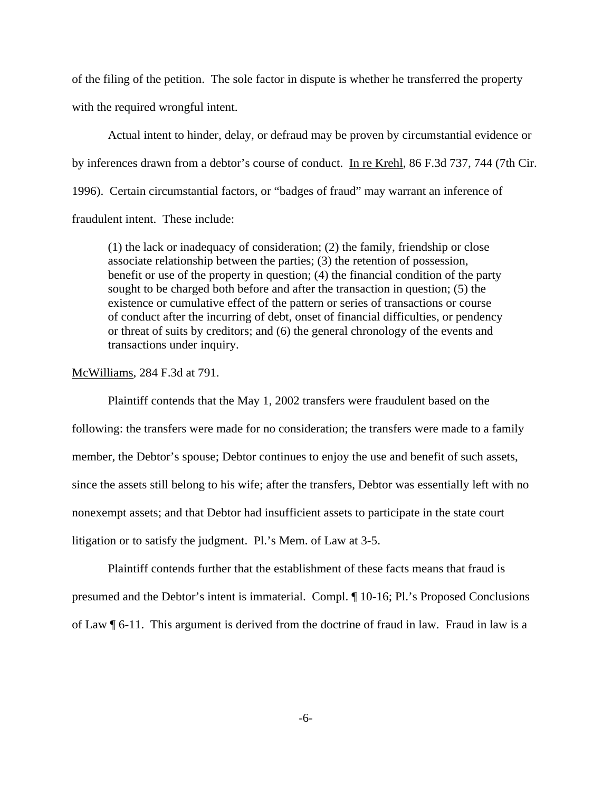of the filing of the petition. The sole factor in dispute is whether he transferred the property with the required wrongful intent.

Actual intent to hinder, delay, or defraud may be proven by circumstantial evidence or by inferences drawn from a debtor's course of conduct. In re Krehl, 86 F.3d 737, 744 (7th Cir. 1996). Certain circumstantial factors, or "badges of fraud" may warrant an inference of fraudulent intent. These include:

(1) the lack or inadequacy of consideration; (2) the family, friendship or close associate relationship between the parties; (3) the retention of possession, benefit or use of the property in question; (4) the financial condition of the party sought to be charged both before and after the transaction in question; (5) the existence or cumulative effect of the pattern or series of transactions or course of conduct after the incurring of debt, onset of financial difficulties, or pendency or threat of suits by creditors; and (6) the general chronology of the events and transactions under inquiry.

McWilliams, 284 F.3d at 791.

Plaintiff contends that the May 1, 2002 transfers were fraudulent based on the following: the transfers were made for no consideration; the transfers were made to a family member, the Debtor's spouse; Debtor continues to enjoy the use and benefit of such assets, since the assets still belong to his wife; after the transfers, Debtor was essentially left with no nonexempt assets; and that Debtor had insufficient assets to participate in the state court litigation or to satisfy the judgment. Pl.'s Mem. of Law at 3-5.

Plaintiff contends further that the establishment of these facts means that fraud is presumed and the Debtor's intent is immaterial. Compl. ¶ 10-16; Pl.'s Proposed Conclusions of Law ¶ 6-11. This argument is derived from the doctrine of fraud in law. Fraud in law is a

-6-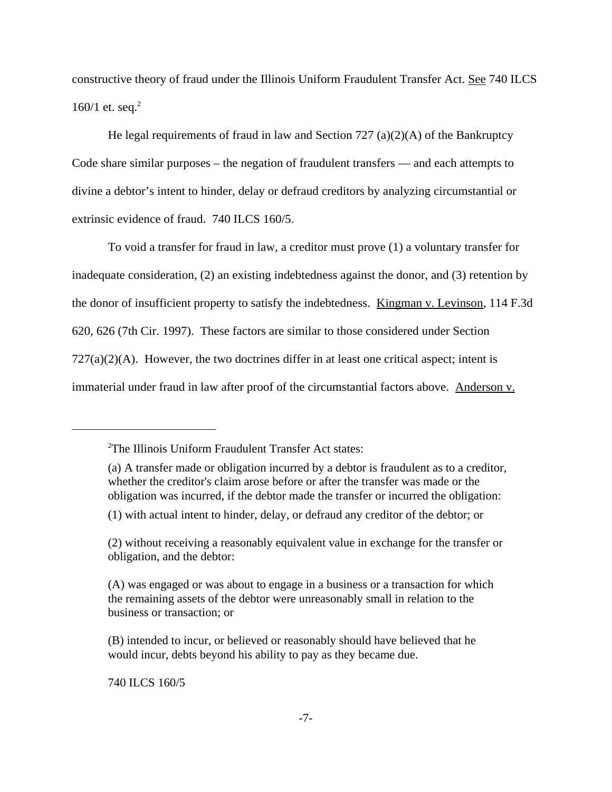constructive theory of fraud under the Illinois Uniform Fraudulent Transfer Act. See 740 ILCS 160/1 et. seq. $^{2}$ 

He legal requirements of fraud in law and Section 727 (a)(2)(A) of the Bankruptcy Code share similar purposes – the negation of fraudulent transfers — and each attempts to divine a debtor's intent to hinder, delay or defraud creditors by analyzing circumstantial or extrinsic evidence of fraud. 740 ILCS 160/5.

To void a transfer for fraud in law, a creditor must prove (1) a voluntary transfer for inadequate consideration, (2) an existing indebtedness against the donor, and (3) retention by the donor of insufficient property to satisfy the indebtedness. Kingman v. Levinson, 114 F.3d 620, 626 (7th Cir. 1997). These factors are similar to those considered under Section  $727(a)(2)(A)$ . However, the two doctrines differ in at least one critical aspect; intent is immaterial under fraud in law after proof of the circumstantial factors above. Anderson v.

(1) with actual intent to hinder, delay, or defraud any creditor of the debtor; or

740 ILCS 160/5

<sup>2</sup> The Illinois Uniform Fraudulent Transfer Act states:

<sup>(</sup>a) A transfer made or obligation incurred by a debtor is fraudulent as to a creditor, whether the creditor's claim arose before or after the transfer was made or the obligation was incurred, if the debtor made the transfer or incurred the obligation:

<sup>(2)</sup> without receiving a reasonably equivalent value in exchange for the transfer or obligation, and the debtor:

<sup>(</sup>A) was engaged or was about to engage in a business or a transaction for which the remaining assets of the debtor were unreasonably small in relation to the business or transaction; or

<sup>(</sup>B) intended to incur, or believed or reasonably should have believed that he would incur, debts beyond his ability to pay as they became due.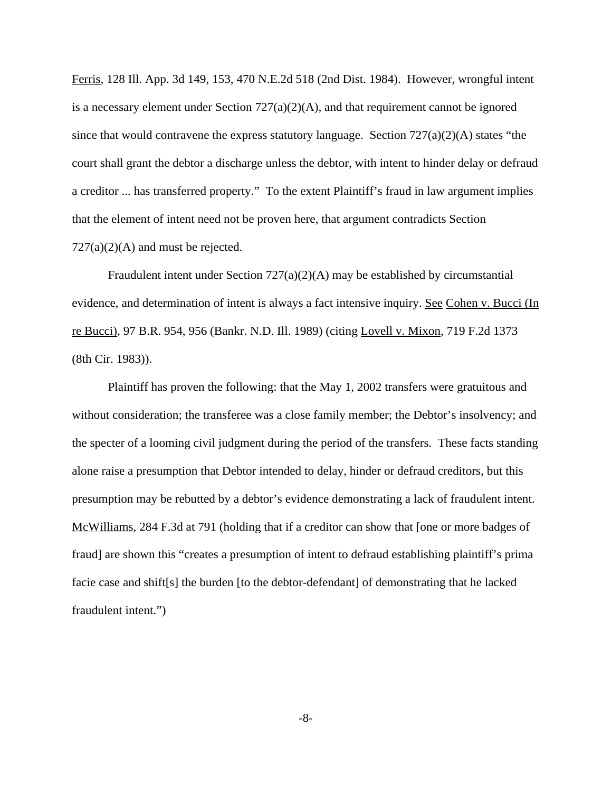Ferris, 128 Ill. App. 3d 149, 153, 470 N.E.2d 518 (2nd Dist. 1984). However, wrongful intent is a necessary element under Section  $727(a)(2)(A)$ , and that requirement cannot be ignored since that would contravene the express statutory language. Section  $727(a)(2)(A)$  states "the court shall grant the debtor a discharge unless the debtor, with intent to hinder delay or defraud a creditor ... has transferred property." To the extent Plaintiff's fraud in law argument implies that the element of intent need not be proven here, that argument contradicts Section  $727(a)(2)(A)$  and must be rejected.

Fraudulent intent under Section 727(a)(2)(A) may be established by circumstantial evidence, and determination of intent is always a fact intensive inquiry. See Cohen v. Bucci (In re Bucci), 97 B.R. 954, 956 (Bankr. N.D. Ill. 1989) (citing Lovell v. Mixon, 719 F.2d 1373 (8th Cir. 1983)).

Plaintiff has proven the following: that the May 1, 2002 transfers were gratuitous and without consideration; the transferee was a close family member; the Debtor's insolvency; and the specter of a looming civil judgment during the period of the transfers. These facts standing alone raise a presumption that Debtor intended to delay, hinder or defraud creditors, but this presumption may be rebutted by a debtor's evidence demonstrating a lack of fraudulent intent. McWilliams, 284 F.3d at 791 (holding that if a creditor can show that [one or more badges of fraud] are shown this "creates a presumption of intent to defraud establishing plaintiff's prima facie case and shift[s] the burden [to the debtor-defendant] of demonstrating that he lacked fraudulent intent.")

-8-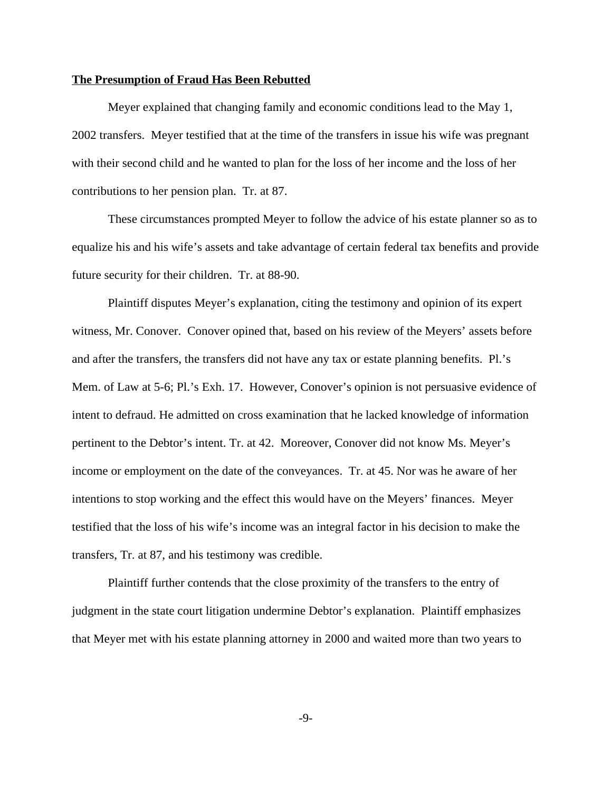#### **The Presumption of Fraud Has Been Rebutted**

Meyer explained that changing family and economic conditions lead to the May 1, 2002 transfers. Meyer testified that at the time of the transfers in issue his wife was pregnant with their second child and he wanted to plan for the loss of her income and the loss of her contributions to her pension plan. Tr. at 87.

These circumstances prompted Meyer to follow the advice of his estate planner so as to equalize his and his wife's assets and take advantage of certain federal tax benefits and provide future security for their children. Tr. at 88-90.

Plaintiff disputes Meyer's explanation, citing the testimony and opinion of its expert witness, Mr. Conover. Conover opined that, based on his review of the Meyers' assets before and after the transfers, the transfers did not have any tax or estate planning benefits. Pl.'s Mem. of Law at 5-6; Pl.'s Exh. 17. However, Conover's opinion is not persuasive evidence of intent to defraud. He admitted on cross examination that he lacked knowledge of information pertinent to the Debtor's intent. Tr. at 42. Moreover, Conover did not know Ms. Meyer's income or employment on the date of the conveyances. Tr. at 45. Nor was he aware of her intentions to stop working and the effect this would have on the Meyers' finances. Meyer testified that the loss of his wife's income was an integral factor in his decision to make the transfers, Tr. at 87, and his testimony was credible.

Plaintiff further contends that the close proximity of the transfers to the entry of judgment in the state court litigation undermine Debtor's explanation. Plaintiff emphasizes that Meyer met with his estate planning attorney in 2000 and waited more than two years to

-9-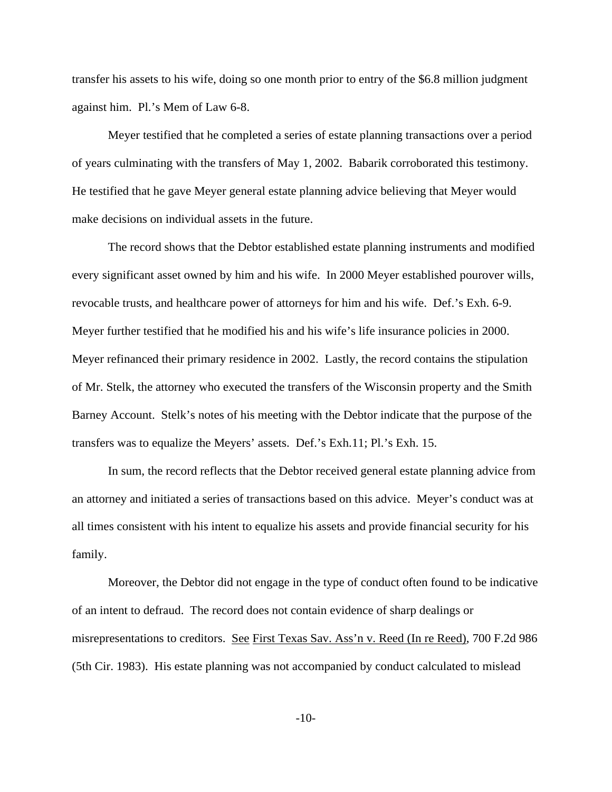transfer his assets to his wife, doing so one month prior to entry of the \$6.8 million judgment against him. Pl.'s Mem of Law 6-8.

Meyer testified that he completed a series of estate planning transactions over a period of years culminating with the transfers of May 1, 2002. Babarik corroborated this testimony. He testified that he gave Meyer general estate planning advice believing that Meyer would make decisions on individual assets in the future.

The record shows that the Debtor established estate planning instruments and modified every significant asset owned by him and his wife. In 2000 Meyer established pourover wills, revocable trusts, and healthcare power of attorneys for him and his wife. Def.'s Exh. 6-9. Meyer further testified that he modified his and his wife's life insurance policies in 2000. Meyer refinanced their primary residence in 2002. Lastly, the record contains the stipulation of Mr. Stelk, the attorney who executed the transfers of the Wisconsin property and the Smith Barney Account. Stelk's notes of his meeting with the Debtor indicate that the purpose of the transfers was to equalize the Meyers' assets. Def.'s Exh.11; Pl.'s Exh. 15.

In sum, the record reflects that the Debtor received general estate planning advice from an attorney and initiated a series of transactions based on this advice. Meyer's conduct was at all times consistent with his intent to equalize his assets and provide financial security for his family.

Moreover, the Debtor did not engage in the type of conduct often found to be indicative of an intent to defraud. The record does not contain evidence of sharp dealings or misrepresentations to creditors. See First Texas Sav. Ass'n v. Reed (In re Reed), 700 F.2d 986 (5th Cir. 1983). His estate planning was not accompanied by conduct calculated to mislead

-10-